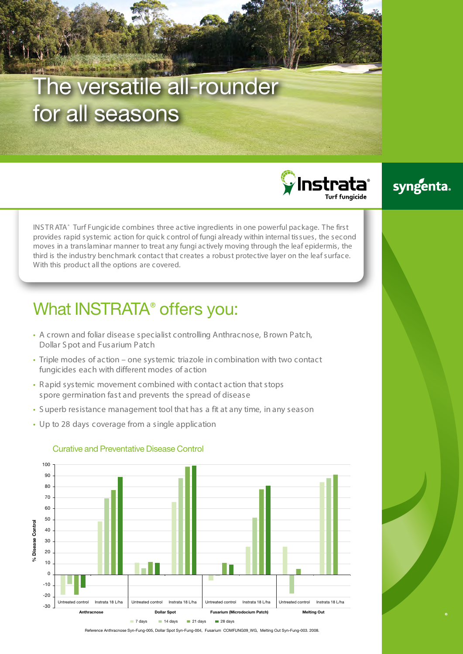# The versatile all-rounder for all seasons

 $\mathbf \hat{\mathbf y}$ Instrata $\mathbf \hat{\mathbf x}$ 

### syngenta.

INS TR ATA® Turf Fungicide combines three active ingredients in one powerful package. The first provides rapid systemic action for quick control of fungi already within internal tissues, the second moves in a translaminar manner to treat any fungi actively moving through the leaf epidermis, the third is the industry benchmark contact that creates a robust protective layer on the leaf surface. With this product all the options are covered.

## What INSTRATA<sup>®</sup> offers you:

- A crown and foliar disease specialist controlling Anthracnose, B rown Patch, Dollar S pot and Fusarium Patch
- Triple modes of action one systemic triazole in combination with two contact fungicides each with different modes of action
- R apid systemic movement combined with contact action that stops spore germination fast and prevents the spread of disease
- S uperb resistance management tool that has a fit at any time, in any season
- Up to 28 days coverage from a single application



### Curative and Preventative Disease Control

Reference Anthracnose Syn-Fung-005, Dollar Spot Syn-Fung-004, Fusarium COMFUNG09\_WG, Melting Out Syn-Fung-003. 2008.